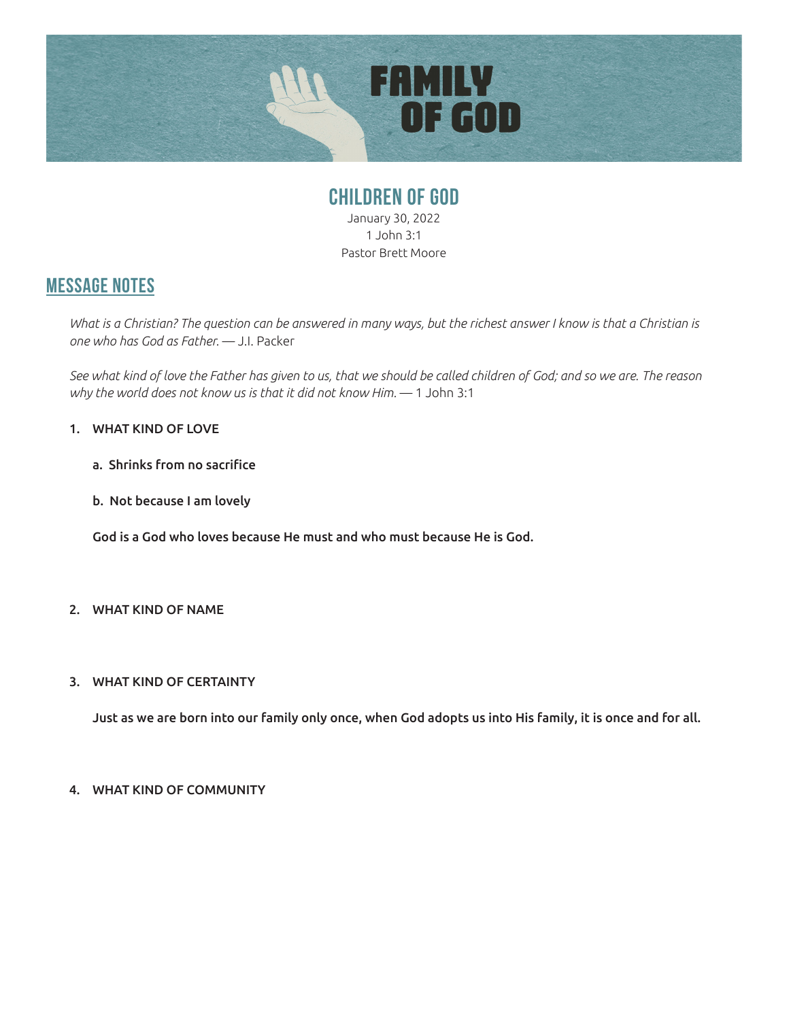

## **CHILDREN OF GOD** January 30, 2022 1 John 3:1 Pastor Brett Moore

## **MESSAGE NOTES**

What is a Christian? The question can be answered in many ways, but the richest answer I know is that a Christian is *one who has God as Father.* — J.I. Packer

*See what kind of love the Father has given to us, that we should be called children of God; and so we are. The reason why the world does not know us is that it did not know Him.* — 1 John 3:1

### 1. WHAT KIND OF LOVE

- a. Shrinks from no sacrifice
- b. Not because I am lovely

 God is a God who loves because He must and who must because He is God.

## 2. WHAT KIND OF NAME

#### 3. WHAT KIND OF CERTAINTY

 Just as we are born into our family only once, when God adopts us into His family, it is once and for all.

#### 4. WHAT KIND OF COMMUNITY